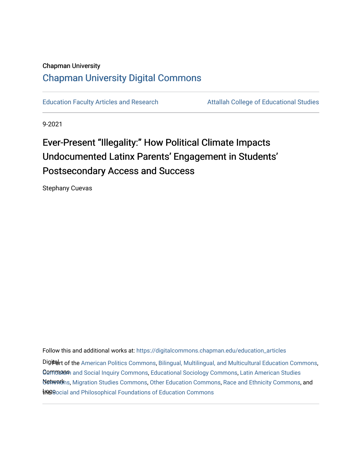## Chapman University [Chapman University Digital Commons](https://digitalcommons.chapman.edu/)

[Education Faculty Articles and Research](https://digitalcommons.chapman.edu/education_articles) **Attallah College of Educational Studies** 

9-2021

# Ever-Present "Illegality:" How Political Climate Impacts Undocumented Latinx Parents' Engagement in Students' Postsecondary Access and Success

Stephany Cuevas

Follow this and additional works at: [https://digitalcommons.chapman.edu/education\\_articles](https://digitalcommons.chapman.edu/education_articles?utm_source=digitalcommons.chapman.edu%2Feducation_articles%2F317&utm_medium=PDF&utm_campaign=PDFCoverPages)

Digitart of the [American Politics Commons,](http://network.bepress.com/hgg/discipline/387?utm_source=digitalcommons.chapman.edu%2Feducation_articles%2F317&utm_medium=PDF&utm_campaign=PDFCoverPages) [Bilingual, Multilingual, and Multicultural Education Commons,](http://network.bepress.com/hgg/discipline/785?utm_source=digitalcommons.chapman.edu%2Feducation_articles%2F317&utm_medium=PDF&utm_campaign=PDFCoverPages) Commons and Social Inquiry Commons, [Educational Sociology Commons,](http://network.bepress.com/hgg/discipline/1071?utm_source=digitalcommons.chapman.edu%2Feducation_articles%2F317&utm_medium=PDF&utm_campaign=PDFCoverPages) Latin American Studies Networks, Migration Studies [Commons](http://network.bepress.com/hgg/discipline/363?utm_source=digitalcommons.chapman.edu%2Feducation_articles%2F317&utm_medium=PDF&utm_campaign=PDFCoverPages), [Other Education Commons](http://network.bepress.com/hgg/discipline/811?utm_source=digitalcommons.chapman.edu%2Feducation_articles%2F317&utm_medium=PDF&utm_campaign=PDFCoverPages), [Race and Ethnicity Commons](http://network.bepress.com/hgg/discipline/426?utm_source=digitalcommons.chapman.edu%2Feducation_articles%2F317&utm_medium=PDF&utm_campaign=PDFCoverPages), and tre Social and Philosophical Foundations of Education Commons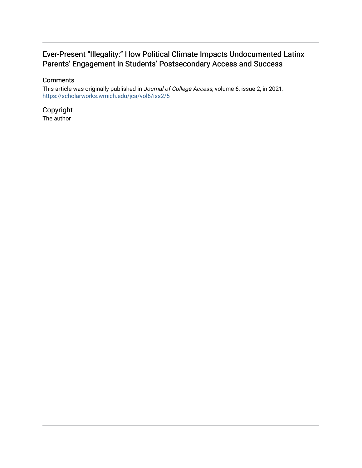## Ever-Present "Illegality:" How Political Climate Impacts Undocumented Latinx Parents' Engagement in Students' Postsecondary Access and Success

#### **Comments**

This article was originally published in Journal of College Access, volume 6, issue 2, in 2021. <https://scholarworks.wmich.edu/jca/vol6/iss2/5>

Copyright The author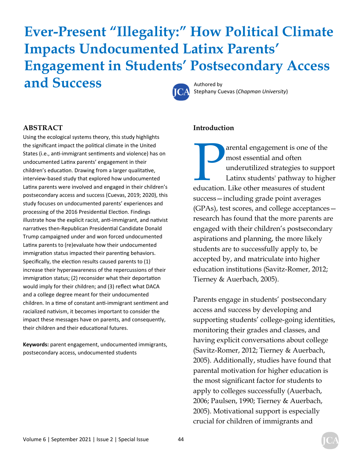# **Ever-Present "Illegality:" How Political Climate Impacts Undocumented Latinx Parents' Engagement in Students' Postsecondary Access and Success Authored by**



Stephany Cuevas (*Chapman University*)

#### **ABSTRACT**

Using the ecological systems theory, this study highlights the significant impact the political climate in the United States (i.e., anti-immigrant sentiments and violence) has on undocumented Latinx parents' engagement in their children's education. Drawing from a larger qualitative, interview-based study that explored how undocumented Latinx parents were involved and engaged in their children's postsecondary access and success (Cuevas, 2019; 2020), this study focuses on undocumented parents' experiences and processing of the 2016 Presidential Election. Findings illustrate how the explicit racist, anti-immigrant, and nativist narratives then-Republican Presidential Candidate Donald Trump campaigned under and won forced undocumented Latinx parents to (re)evaluate how their undocumented immigration status impacted their parenting behaviors. Specifically, the election results caused parents to (1) increase their hyperawareness of the repercussions of their immigration status; (2) reconsider what their deportation would imply for their children; and (3) reflect what DACA and a college degree meant for their undocumented children. In a time of constant anti-immigrant sentiment and racialized nativism, it becomes important to consider the impact these messages have on parents, and consequently, their children and their educational futures.

**Keywords:** parent engagement, undocumented immigrants, postsecondary access, undocumented students

#### **Introduction**

**Expanding and School State** (1) and the most essential and often underutilized strategies to suppo<br>
Latinx students' pathway to high education. Like other measures of student most essential and often underutilized strategies to support Latinx students' pathway to higher success—including grade point averages (GPAs), test scores, and college acceptances research has found that the more parents are engaged with their children's postsecondary aspirations and planning, the more likely students are to successfully apply to, be accepted by, and matriculate into higher education institutions (Savitz-Romer, 2012; Tierney & Auerbach, 2005).

Parents engage in students' postsecondary access and success by developing and supporting students' college-going identities, monitoring their grades and classes, and having explicit conversations about college (Savitz-Romer, 2012; Tierney & Auerbach, 2005). Additionally, studies have found that parental motivation for higher education is the most significant factor for students to apply to colleges successfully (Auerbach, 2006; Paulsen, 1990; Tierney & Auerbach, 2005). Motivational support is especially crucial for children of immigrants and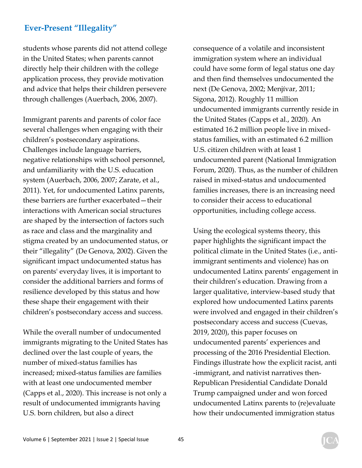students whose parents did not attend college in the United States; when parents cannot directly help their children with the college application process, they provide motivation and advice that helps their children persevere through challenges (Auerbach, 2006, 2007).

Immigrant parents and parents of color face several challenges when engaging with their children's postsecondary aspirations. Challenges include language barriers, negative relationships with school personnel, and unfamiliarity with the U.S. education system (Auerbach, 2006, 2007; Zarate, et al., 2011). Yet, for undocumented Latinx parents, these barriers are further exacerbated—their interactions with American social structures are shaped by the intersection of factors such as race and class and the marginality and stigma created by an undocumented status, or their "illegality" (De Genova, 2002). Given the significant impact undocumented status has on parents' everyday lives, it is important to consider the additional barriers and forms of resilience developed by this status and how these shape their engagement with their children's postsecondary access and success.

While the overall number of undocumented immigrants migrating to the United States has declined over the last couple of years, the number of mixed-status families has increased; mixed-status families are families with at least one undocumented member (Capps et al., 2020). This increase is not only a result of undocumented immigrants having U.S. born children, but also a direct

consequence of a volatile and inconsistent immigration system where an individual could have some form of legal status one day and then find themselves undocumented the next (De Genova, 2002; Menjívar, 2011; Sigona, 2012). Roughly 11 million undocumented immigrants currently reside in the United States (Capps et al., 2020). An estimated 16.2 million people live in mixedstatus families, with an estimated 6.2 million U.S. citizen children with at least 1 undocumented parent (National Immigration Forum, 2020). Thus, as the number of children raised in mixed-status and undocumented families increases, there is an increasing need to consider their access to educational opportunities, including college access.

Using the ecological systems theory, this paper highlights the significant impact the political climate in the United States (i.e., antiimmigrant sentiments and violence) has on undocumented Latinx parents' engagement in their children's education. Drawing from a larger qualitative, interview-based study that explored how undocumented Latinx parents were involved and engaged in their children's postsecondary access and success (Cuevas, 2019, 2020), this paper focuses on undocumented parents' experiences and processing of the 2016 Presidential Election. Findings illustrate how the explicit racist, anti -immigrant, and nativist narratives then-Republican Presidential Candidate Donald Trump campaigned under and won forced undocumented Latinx parents to (re)evaluate how their undocumented immigration status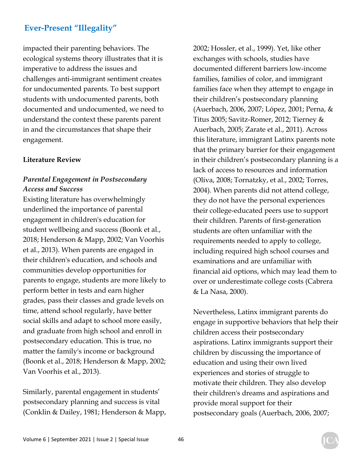impacted their parenting behaviors. The ecological systems theory illustrates that it is imperative to address the issues and challenges anti-immigrant sentiment creates for undocumented parents. To best support students with undocumented parents, both documented and undocumented, we need to understand the context these parents parent in and the circumstances that shape their engagement.

#### **Literature Review**

## *Parental Engagement in Postsecondary Access and Success*

Existing literature has overwhelmingly underlined the importance of parental engagement in children's education for student wellbeing and success (Boonk et al., 2018; Henderson & Mapp, 2002; Van Voorhis et al., 2013). When parents are engaged in their children's education, and schools and communities develop opportunities for parents to engage, students are more likely to perform better in tests and earn higher grades, pass their classes and grade levels on time, attend school regularly, have better social skills and adapt to school more easily, and graduate from high school and enroll in postsecondary education. This is true, no matter the family's income or background (Boonk et al., 2018; Henderson & Mapp, 2002; Van Voorhis et al., 2013).

Similarly, parental engagement in students' postsecondary planning and success is vital (Conklin & Dailey, 1981; Henderson & Mapp, 2002; Hossler, et al., 1999). Yet, like other exchanges with schools, studies have documented different barriers low-income families, families of color, and immigrant families face when they attempt to engage in their children's postsecondary planning (Auerbach, 2006, 2007; López, 2001; Perna, & Titus 2005; Savitz-Romer, 2012; Tierney & Auerbach, 2005; Zarate et al., 2011). Across this literature, immigrant Latinx parents note that the primary barrier for their engagement in their children's postsecondary planning is a lack of access to resources and information (Oliva, 2008; Tornatzky, et al., 2002; Torres, 2004). When parents did not attend college, they do not have the personal experiences their college-educated peers use to support their children. Parents of first-generation students are often unfamiliar with the requirements needed to apply to college, including required high school courses and examinations and are unfamiliar with financial aid options, which may lead them to over or underestimate college costs (Cabrera & La Nasa, 2000).

Nevertheless, Latinx immigrant parents do engage in supportive behaviors that help their children access their postsecondary aspirations. Latinx immigrants support their children by discussing the importance of education and using their own lived experiences and stories of struggle to motivate their children. They also develop their children's dreams and aspirations and provide moral support for their postsecondary goals (Auerbach, 2006, 2007;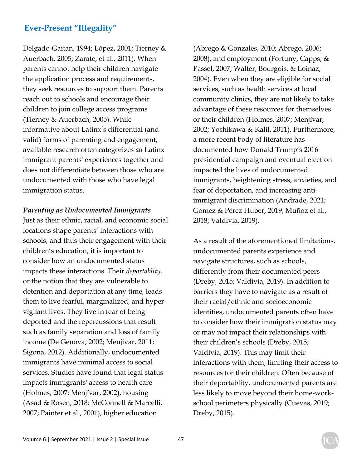Delgado-Gaitan, 1994; López, 2001; Tierney & Auerbach, 2005; Zarate, et al., 2011). When parents cannot help their children navigate the application process and requirements, they seek resources to support them. Parents reach out to schools and encourage their children to join college access programs (Tierney & Auerbach, 2005). While informative about Latinx's differential (and valid) forms of parenting and engagement, available research often categorizes *all* Latinx immigrant parents' experiences together and does not differentiate between those who are undocumented with those who have legal immigration status.

*Parenting as Undocumented Immigrants* 

Just as their ethnic, racial, and economic social locations shape parents' interactions with schools, and thus their engagement with their children's education, it is important to consider how an undocumented status impacts these interactions. Their *deportablity,*  or the notion that they are vulnerable to detention and deportation at any time, leads them to live fearful, marginalized, and hypervigilant lives. They live in fear of being deported and the repercussions that result such as family separation and loss of family income (De Genova, 2002; Menjívar, 2011; Sigona, 2012). Additionally, undocumented immigrants have minimal access to social services. Studies have found that legal status impacts immigrants' access to health care (Holmes, 2007; Menjívar, 2002), housing (Asad & Rosen, 2018; McConnell & Marcelli, 2007; Painter et al., 2001), higher education

(Abrego & Gonzales, 2010; Abrego, 2006; 2008), and employment (Fortuny, Capps, & Passel, 2007; Walter, Bourgois, & Loinaz, 2004). Even when they are eligible for social services, such as health services at local community clinics, they are not likely to take advantage of these resources for themselves or their children (Holmes, 2007; Menjívar, 2002; Yoshikawa & Kalil, 2011). Furthermore, a more recent body of literature has documented how Donald Trump's 2016 presidential campaign and eventual election impacted the lives of undocumented immigrants, heightening stress, anxieties, and fear of deportation, and increasing antiimmigrant discrimination (Andrade, 2021; Gomez & Pérez Huber, 2019; Muñoz et al., 2018; Valdivia, 2019).

As a result of the aforementioned limitations, undocumented parents experience and navigate structures, such as schools, differently from their documented peers (Dreby, 2015; Valdivia, 2019). In addition to barriers they have to navigate as a result of their racial/ethnic and socioeconomic identities, undocumented parents often have to consider how their immigration status may or may not impact their relationships with their children's schools (Dreby, 2015; Valdivia, 2019). This may limit their interactions with them, limiting their access to resources for their children. Often because of their deportablity, undocumented parents are less likely to move beyond their home-workschool perimeters physically (Cuevas, 2019; Dreby, 2015).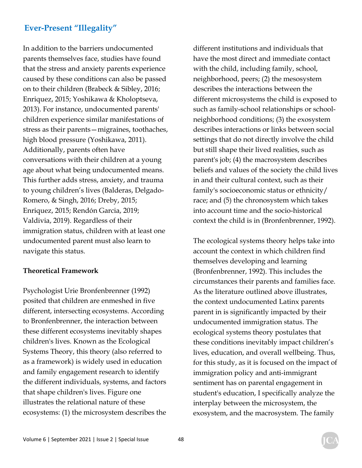In addition to the barriers undocumented parents themselves face, studies have found that the stress and anxiety parents experience caused by these conditions can also be passed on to their children (Brabeck & Sibley, 2016; Enriquez, 2015; Yoshikawa & Kholoptseva, 2013). For instance, undocumented parents' children experience similar manifestations of stress as their parents—migraines, toothaches, high blood pressure (Yoshikawa, 2011). Additionally, parents often have conversations with their children at a young age about what being undocumented means. This further adds stress, anxiety, and trauma to young children's lives (Balderas, Delgado-Romero, & Singh, 2016; Dreby, 2015; Enriquez, 2015; Rendón Garcia, 2019; Valdivia, 2019). Regardless of their immigration status, children with at least one undocumented parent must also learn to navigate this status.

#### **Theoretical Framework**

Psychologist Urie Bronfenbrenner (1992) posited that children are enmeshed in five different, intersecting ecosystems. According to Bronfenbrenner, the interaction between these different ecosystems inevitably shapes children's lives. Known as the Ecological Systems Theory, this theory (also referred to as a framework) is widely used in education and family engagement research to identify the different individuals, systems, and factors that shape children's lives. Figure one illustrates the relational nature of these ecosystems: (1) the microsystem describes the different institutions and individuals that have the most direct and immediate contact with the child, including family, school, neighborhood, peers; (2) the mesosystem describes the interactions between the different microsystems the child is exposed to such as family-school relationships or schoolneighborhood conditions; (3) the exosystem describes interactions or links between social settings that do not directly involve the child but still shape their lived realities, such as parent's job; (4) the macrosystem describes beliefs and values of the society the child lives in and their cultural context, such as their family's socioeconomic status or ethnicity/ race; and (5) the chronosystem which takes into account time and the socio-historical context the child is in (Bronfenbrenner, 1992).

The ecological systems theory helps take into account the context in which children find themselves developing and learning (Bronfenbrenner, 1992). This includes the circumstances their parents and families face. As the literature outlined above illustrates, the context undocumented Latinx parents parent in is significantly impacted by their undocumented immigration status. The ecological systems theory postulates that these conditions inevitably impact children's lives, education, and overall wellbeing. Thus, for this study, as it is focused on the impact of immigration policy and anti-immigrant sentiment has on parental engagement in student's education, I specifically analyze the interplay between the microsystem, the exosystem, and the macrosystem. The family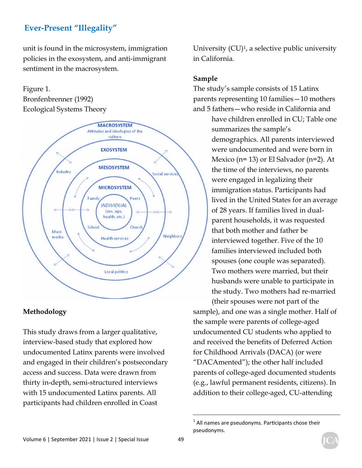unit is found in the microsystem, immigration policies in the exosystem, and anti-immigrant sentiment in the macrosystem.

#### Figure 1.

Bronfenbrenner (1992) Ecological Systems Theory



## **Methodology**

This study draws from a larger qualitative, interview-based study that explored how undocumented Latinx parents were involved and engaged in their children's postsecondary access and success. Data were drawn from thirty in-depth, semi-structured interviews with 15 undocumented Latinx parents. All participants had children enrolled in Coast

University  $(CU)^1$ , a selective public university in California.

#### **Sample**

The study's sample consists of 15 Latinx parents representing 10 families—10 mothers and 5 fathers—who reside in California and have children enrolled in CU; Table one summarizes the sample's demographics. All parents interviewed were undocumented and were born in Mexico (n= 13) or El Salvador (n=2). At the time of the interviews, no parents were engaged in legalizing their immigration status. Participants had lived in the United States for an average of 28 years. If families lived in dualparent households, it was requested that both mother and father be interviewed together. Five of the 10 families interviewed included both spouses (one couple was separated). Two mothers were married, but their husbands were unable to participate in the study. Two mothers had re-married (their spouses were not part of the

sample), and one was a single mother. Half of the sample were parents of college-aged undocumented CU students who applied to and received the benefits of Deferred Action for Childhood Arrivals (DACA) (or were "DACAmented"); the other half included parents of college-aged documented students (e.g., lawful permanent residents, citizens). In addition to their college-aged, CU-attending

 $<sup>1</sup>$  All names are pseudonyms. Participants chose their</sup> pseudonyms.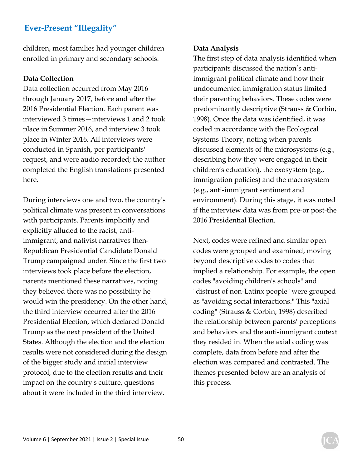children, most families had younger children enrolled in primary and secondary schools.

#### **Data Collection**

Data collection occurred from May 2016 through January 2017, before and after the 2016 Presidential Election. Each parent was interviewed 3 times—interviews 1 and 2 took place in Summer 2016, and interview 3 took place in Winter 2016. All interviews were conducted in Spanish, per participants' request, and were audio-recorded; the author completed the English translations presented here.

During interviews one and two, the country's political climate was present in conversations with participants. Parents implicitly and explicitly alluded to the racist, antiimmigrant, and nativist narratives then-Republican Presidential Candidate Donald Trump campaigned under. Since the first two interviews took place before the election, parents mentioned these narratives, noting they believed there was no possibility he would win the presidency. On the other hand, the third interview occurred after the 2016 Presidential Election, which declared Donald Trump as the next president of the United States. Although the election and the election results were not considered during the design of the bigger study and initial interview protocol, due to the election results and their impact on the country's culture, questions about it were included in the third interview.

#### **Data Analysis**

The first step of data analysis identified when participants discussed the nation's antiimmigrant political climate and how their undocumented immigration status limited their parenting behaviors. These codes were predominantly descriptive (Strauss & Corbin, 1998). Once the data was identified, it was coded in accordance with the Ecological Systems Theory, noting when parents discussed elements of the microsystems (e.g., describing how they were engaged in their children's education), the exosystem (e.g., immigration policies) and the macrosystem (e.g., anti-immigrant sentiment and environment). During this stage, it was noted if the interview data was from pre-or post-the 2016 Presidential Election.

Next, codes were refined and similar open codes were grouped and examined, moving beyond descriptive codes to codes that implied a relationship. For example, the open codes "avoiding children's schools" and "distrust of non-Latinx people" were grouped as "avoiding social interactions." This "axial coding" (Strauss & Corbin, 1998) described the relationship between parents' perceptions and behaviors and the anti-immigrant context they resided in. When the axial coding was complete, data from before and after the election was compared and contrasted. The themes presented below are an analysis of this process.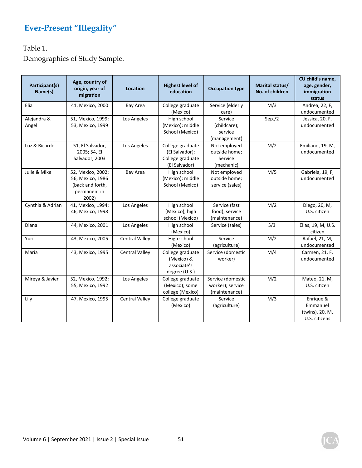Table 1.

Demographics of Study Sample.

| Participant(s)<br>Name(s) | Age, country of<br>origin, year of<br>migration                                    | Location              | <b>Highest level of</b><br>education                                    | <b>Occupation type</b>                                 | Marital status/<br>No. of children | CU child's name,<br>age, gender,<br>immigration<br>status |
|---------------------------|------------------------------------------------------------------------------------|-----------------------|-------------------------------------------------------------------------|--------------------------------------------------------|------------------------------------|-----------------------------------------------------------|
| Elia                      | 41, Mexico, 2000                                                                   | Bay Area              | College graduate<br>(Mexico)                                            | Service (elderly<br>care)                              | M/3                                | Andrea, 22, F,<br>undocumented                            |
| Alejandra &<br>Angel      | 51, Mexico, 1999;<br>53, Mexico, 1999                                              | Los Angeles           | High school<br>(Mexico); middle<br>School (Mexico)                      | Service<br>(childcare);<br>service<br>(management)     | Sep./2                             | Jessica, 20, F,<br>undocumented                           |
| Luz & Ricardo             | 51, El Salvador,<br>2005; 54, El<br>Salvador, 2003                                 | Los Angeles           | College graduate<br>(El Salvador);<br>College graduate<br>(El Salvador) | Not employed<br>outside home;<br>Service<br>(mechanic) | M/2                                | Emiliano, 19, M,<br>undocumented                          |
| Julie & Mike              | 52, Mexico, 2002;<br>56, Mexico, 1986<br>(back and forth,<br>permanent in<br>2002) | Bay Area              | High school<br>(Mexico); middle<br>School (Mexico)                      | Not employed<br>outside home;<br>service (sales)       | M/5                                | Gabriela, 19, F,<br>undocumented                          |
| Cynthia & Adrian          | 41, Mexico, 1994;<br>46, Mexico, 1998                                              | Los Angeles           | High school<br>(Mexico); high<br>school (Mexico)                        | Service (fast<br>food); service<br>(maintenance)       | M/2                                | Diego, 20, M,<br>U.S. citizen                             |
| Diana                     | 44, Mexico, 2001                                                                   | Los Angeles           | High school<br>(Mexico)                                                 | Service (sales)                                        | S/3                                | Elias, 19, M, U.S.<br>citizen                             |
| Yuri                      | 43, Mexico, 2005                                                                   | <b>Central Valley</b> | High school<br>(Mexico)                                                 | Service<br>(agriculture)                               | M/2                                | Rafael, 21, M,<br>undocumented                            |
| Maria                     | 43, Mexico, 1995                                                                   | <b>Central Valley</b> | College graduate<br>(Mexico) &<br>associate's<br>degree (U.S.)          | Service (domestic<br>worker)                           | M/4                                | Carmen, 21, F,<br>undocumented                            |
| Mireya & Javier           | 52, Mexico, 1992;<br>55, Mexico, 1992                                              | Los Angeles           | College graduate<br>(Mexico); some<br>college (Mexico)                  | Service (domestic<br>worker); service<br>(maintenance) | M/2                                | Mateo, 21, M,<br>U.S. citizen                             |
| Lily                      | 47, Mexico, 1995                                                                   | <b>Central Valley</b> | College graduate<br>(Mexico)                                            | Service<br>(agriculture)                               | M/3                                | Enrique &<br>Emmanuel<br>(twins), 20, M,<br>U.S. citizens |

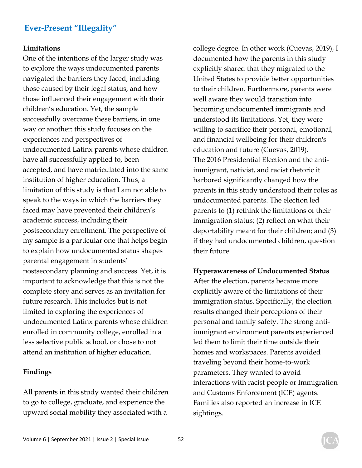#### **Limitations**

One of the intentions of the larger study was to explore the ways undocumented parents navigated the barriers they faced, including those caused by their legal status, and how those influenced their engagement with their children's education. Yet, the sample successfully overcame these barriers, in one way or another: this study focuses on the experiences and perspectives of undocumented Latinx parents whose children have all successfully applied to, been accepted, and have matriculated into the same institution of higher education. Thus, a limitation of this study is that I am not able to speak to the ways in which the barriers they faced may have prevented their children's academic success, including their postsecondary enrollment. The perspective of my sample is a particular one that helps begin to explain how undocumented status shapes parental engagement in students' postsecondary planning and success. Yet, it is important to acknowledge that this is not the complete story and serves as an invitation for future research. This includes but is not limited to exploring the experiences of undocumented Latinx parents whose children enrolled in community college, enrolled in a less selective public school, or chose to not attend an institution of higher education.

#### **Findings**

All parents in this study wanted their children to go to college, graduate, and experience the upward social mobility they associated with a

college degree. In other work (Cuevas, 2019), I documented how the parents in this study explicitly shared that they migrated to the United States to provide better opportunities to their children. Furthermore, parents were well aware they would transition into becoming undocumented immigrants and understood its limitations. Yet, they were willing to sacrifice their personal, emotional, and financial wellbeing for their children's education and future (Cuevas, 2019). The 2016 Presidential Election and the antiimmigrant, nativist, and racist rhetoric it harbored significantly changed how the parents in this study understood their roles as undocumented parents. The election led parents to (1) rethink the limitations of their immigration status; (2) reflect on what their deportability meant for their children; and (3) if they had undocumented children, question their future.

**Hyperawareness of Undocumented Status** 

After the election, parents became more explicitly aware of the limitations of their immigration status. Specifically, the election results changed their perceptions of their personal and family safety. The strong antiimmigrant environment parents experienced led them to limit their time outside their homes and workspaces. Parents avoided traveling beyond their home-to-work parameters. They wanted to avoid interactions with racist people or Immigration and Customs Enforcement (ICE) agents. Families also reported an increase in ICE sightings.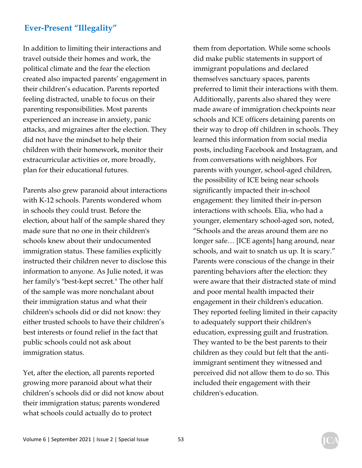In addition to limiting their interactions and travel outside their homes and work, the political climate and the fear the election created also impacted parents' engagement in their children's education. Parents reported feeling distracted, unable to focus on their parenting responsibilities. Most parents experienced an increase in anxiety, panic attacks, and migraines after the election. They did not have the mindset to help their children with their homework, monitor their extracurricular activities or, more broadly, plan for their educational futures.

Parents also grew paranoid about interactions with K-12 schools. Parents wondered whom in schools they could trust. Before the election, about half of the sample shared they made sure that no one in their children's schools knew about their undocumented immigration status. These families explicitly instructed their children never to disclose this information to anyone. As Julie noted, it was her family's "best-kept secret." The other half of the sample was more nonchalant about their immigration status and what their children's schools did or did not know: they either trusted schools to have their children's best interests or found relief in the fact that public schools could not ask about immigration status.

Yet, after the election, all parents reported growing more paranoid about what their children's schools did or did not know about their immigration status; parents wondered what schools could actually do to protect

them from deportation. While some schools did make public statements in support of immigrant populations and declared themselves sanctuary spaces, parents preferred to limit their interactions with them. Additionally, parents also shared they were made aware of immigration checkpoints near schools and ICE officers detaining parents on their way to drop off children in schools. They learned this information from social media posts, including Facebook and Instagram, and from conversations with neighbors. For parents with younger, school-aged children, the possibility of ICE being near schools significantly impacted their in-school engagement: they limited their in-person interactions with schools. Elia, who had a younger, elementary school-aged son, noted, "Schools and the areas around them are no longer safe… [ICE agents] hang around, near schools, and wait to snatch us up. It is scary." Parents were conscious of the change in their parenting behaviors after the election: they were aware that their distracted state of mind and poor mental health impacted their engagement in their children's education. They reported feeling limited in their capacity to adequately support their children's education, expressing guilt and frustration. They wanted to be the best parents to their children as they could but felt that the antiimmigrant sentiment they witnessed and perceived did not allow them to do so. This included their engagement with their children's education.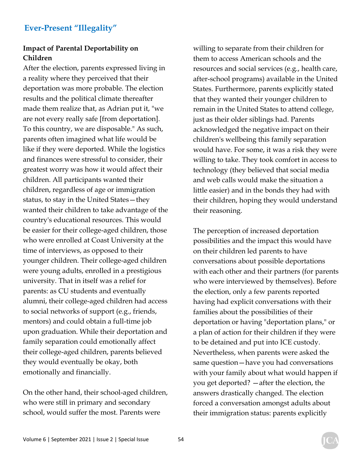#### **Impact of Parental Deportability on Children**

After the election, parents expressed living in a reality where they perceived that their deportation was more probable. The election results and the political climate thereafter made them realize that, as Adrian put it, "we are not every really safe [from deportation]. To this country, we are disposable." As such, parents often imagined what life would be like if they were deported. While the logistics and finances were stressful to consider, their greatest worry was how it would affect their children. All participants wanted their children, regardless of age or immigration status, to stay in the United States—they wanted their children to take advantage of the country's educational resources. This would be easier for their college-aged children, those who were enrolled at Coast University at the time of interviews, as opposed to their younger children. Their college-aged children were young adults, enrolled in a prestigious university. That in itself was a relief for parents: as CU students and eventually alumni, their college-aged children had access to social networks of support (e.g., friends, mentors) and could obtain a full-time job upon graduation. While their deportation and family separation could emotionally affect their college-aged children, parents believed they would eventually be okay, both emotionally and financially.

On the other hand, their school-aged children, who were still in primary and secondary school, would suffer the most. Parents were

willing to separate from their children for them to access American schools and the resources and social services (e.g., health care, after-school programs) available in the United States. Furthermore, parents explicitly stated that they wanted their younger children to remain in the United States to attend college, just as their older siblings had. Parents acknowledged the negative impact on their children's wellbeing this family separation would have. For some, it was a risk they were willing to take. They took comfort in access to technology (they believed that social media and web calls would make the situation a little easier) and in the bonds they had with their children, hoping they would understand their reasoning.

The perception of increased deportation possibilities and the impact this would have on their children led parents to have conversations about possible deportations with each other and their partners (for parents who were interviewed by themselves). Before the election, only a few parents reported having had explicit conversations with their families about the possibilities of their deportation or having "deportation plans," or a plan of action for their children if they were to be detained and put into ICE custody. Nevertheless, when parents were asked the same question—have you had conversations with your family about what would happen if you get deported? —after the election, the answers drastically changed. The election forced a conversation amongst adults about their immigration status: parents explicitly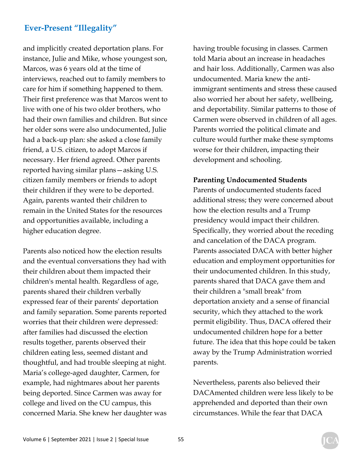and implicitly created deportation plans. For instance, Julie and Mike, whose youngest son, Marcos, was 6 years old at the time of interviews, reached out to family members to care for him if something happened to them. Their first preference was that Marcos went to live with one of his two older brothers, who had their own families and children. But since her older sons were also undocumented, Julie had a back-up plan: she asked a close family friend, a U.S. citizen, to adopt Marcos if necessary. Her friend agreed. Other parents reported having similar plans—asking U.S. citizen family members or friends to adopt their children if they were to be deported. Again, parents wanted their children to remain in the United States for the resources and opportunities available, including a higher education degree.

Parents also noticed how the election results and the eventual conversations they had with their children about them impacted their children's mental health. Regardless of age, parents shared their children verbally expressed fear of their parents' deportation and family separation. Some parents reported worries that their children were depressed: after families had discussed the election results together, parents observed their children eating less, seemed distant and thoughtful, and had trouble sleeping at night. Maria's college-aged daughter, Carmen, for example, had nightmares about her parents being deported. Since Carmen was away for college and lived on the CU campus, this concerned Maria. She knew her daughter was having trouble focusing in classes. Carmen told Maria about an increase in headaches and hair loss. Additionally, Carmen was also undocumented. Maria knew the antiimmigrant sentiments and stress these caused also worried her about her safety, wellbeing, and deportability. Similar patterns to those of Carmen were observed in children of all ages. Parents worried the political climate and culture would further make these symptoms worse for their children, impacting their development and schooling.

#### **Parenting Undocumented Students**

Parents of undocumented students faced additional stress; they were concerned about how the election results and a Trump presidency would impact their children. Specifically, they worried about the receding and cancelation of the DACA program. Parents associated DACA with better higher education and employment opportunities for their undocumented children. In this study, parents shared that DACA gave them and their children a "small break" from deportation anxiety and a sense of financial security, which they attached to the work permit eligibility. Thus, DACA offered their undocumented children hope for a better future. The idea that this hope could be taken away by the Trump Administration worried parents.

Nevertheless, parents also believed their DACAmented children were less likely to be apprehended and deported than their own circumstances. While the fear that DACA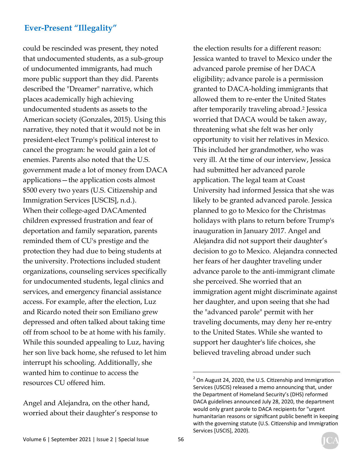could be rescinded was present, they noted that undocumented students, as a sub-group of undocumented immigrants, had much more public support than they did. Parents described the "Dreamer" narrative, which places academically high achieving undocumented students as assets to the American society (Gonzales, 2015). Using this narrative, they noted that it would not be in president-elect Trump's political interest to cancel the program: he would gain a lot of enemies. Parents also noted that the U.S. government made a lot of money from DACA applications—the application costs almost \$500 every two years (U.S. Citizenship and Immigration Services [USCIS], n.d.). When their college-aged DACAmented children expressed frustration and fear of deportation and family separation, parents reminded them of CU's prestige and the protection they had due to being students at the university. Protections included student organizations, counseling services specifically for undocumented students, legal clinics and services, and emergency financial assistance access. For example, after the election, Luz and Ricardo noted their son Emiliano grew depressed and often talked about taking time off from school to be at home with his family. While this sounded appealing to Luz, having her son live back home, she refused to let him interrupt his schooling. Additionally, she wanted him to continue to access the resources CU offered him.

Angel and Alejandra, on the other hand, worried about their daughter's response to the election results for a different reason: Jessica wanted to travel to Mexico under the advanced parole premise of her DACA eligibility; advance parole is a permission granted to DACA-holding immigrants that allowed them to re-enter the United States after temporarily traveling abroad.2 Jessica worried that DACA would be taken away, threatening what she felt was her only opportunity to visit her relatives in Mexico. This included her grandmother, who was very ill. At the time of our interview, Jessica had submitted her advanced parole application. The legal team at Coast University had informed Jessica that she was likely to be granted advanced parole. Jessica planned to go to Mexico for the Christmas holidays with plans to return before Trump's inauguration in January 2017. Angel and Alejandra did not support their daughter's decision to go to Mexico. Alejandra connected her fears of her daughter traveling under advance parole to the anti-immigrant climate she perceived. She worried that an immigration agent might discriminate against her daughter, and upon seeing that she had the "advanced parole" permit with her traveling documents, may deny her re-entry to the United States. While she wanted to support her daughter's life choices, she believed traveling abroad under such



 $2$  On August 24, 2020, the U.S. Citizenship and Immigration Services (USCIS) released a memo announcing that, under the Department of Homeland Security's (DHS) reformed DACA guidelines announced July 28, 2020, the department would only grant parole to DACA recipients for "urgent humanitarian reasons or significant public benefit in keeping with the governing statute (U.S. Citizenship and Immigration Services [USCIS], 2020).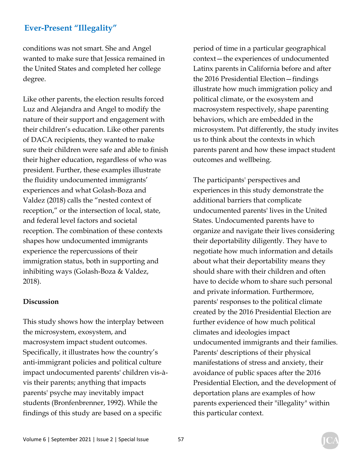conditions was not smart. She and Angel wanted to make sure that Jessica remained in the United States and completed her college degree.

Like other parents, the election results forced Luz and Alejandra and Angel to modify the nature of their support and engagement with their children's education. Like other parents of DACA recipients, they wanted to make sure their children were safe and able to finish their higher education, regardless of who was president. Further, these examples illustrate the fluidity undocumented immigrants' experiences and what Golash-Boza and Valdez (2018) calls the "nested context of reception," or the intersection of local, state, and federal level factors and societal reception. The combination of these contexts shapes how undocumented immigrants experience the repercussions of their immigration status, both in supporting and inhibiting ways (Golash-Boza & Valdez, 2018).

#### **Discussion**

This study shows how the interplay between the microsystem, exosystem, and macrosystem impact student outcomes. Specifically, it illustrates how the country's anti-immigrant policies and political culture impact undocumented parents' children vis-àvis their parents; anything that impacts parents' psyche may inevitably impact students (Bronfenbrenner, 1992). While the findings of this study are based on a specific

period of time in a particular geographical context—the experiences of undocumented Latinx parents in California before and after the 2016 Presidential Election—findings illustrate how much immigration policy and political climate, or the exosystem and macrosystem respectively, shape parenting behaviors, which are embedded in the microsystem. Put differently, the study invites us to think about the contexts in which parents parent and how these impact student outcomes and wellbeing.

The participants' perspectives and experiences in this study demonstrate the additional barriers that complicate undocumented parents' lives in the United States. Undocumented parents have to organize and navigate their lives considering their deportability diligently. They have to negotiate how much information and details about what their deportability means they should share with their children and often have to decide whom to share such personal and private information. Furthermore, parents' responses to the political climate created by the 2016 Presidential Election are further evidence of how much political climates and ideologies impact undocumented immigrants and their families. Parents' descriptions of their physical manifestations of stress and anxiety, their avoidance of public spaces after the 2016 Presidential Election, and the development of deportation plans are examples of how parents experienced their "illegality" within this particular context.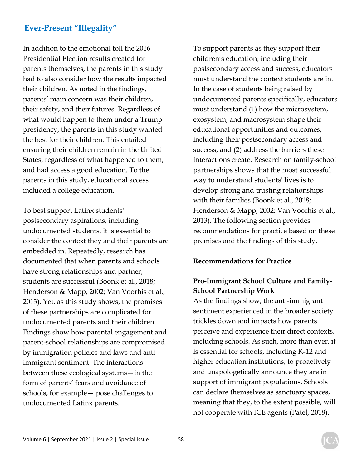In addition to the emotional toll the 2016 Presidential Election results created for parents themselves, the parents in this study had to also consider how the results impacted their children. As noted in the findings, parents' main concern was their children, their safety, and their futures. Regardless of what would happen to them under a Trump presidency, the parents in this study wanted the best for their children. This entailed ensuring their children remain in the United States, regardless of what happened to them, and had access a good education. To the parents in this study, educational access included a college education.

To best support Latinx students' postsecondary aspirations, including undocumented students, it is essential to consider the context they and their parents are embedded in. Repeatedly, research has documented that when parents and schools have strong relationships and partner, students are successful (Boonk et al., 2018; Henderson & Mapp, 2002; Van Voorhis et al., 2013). Yet, as this study shows, the promises of these partnerships are complicated for undocumented parents and their children. Findings show how parental engagement and parent-school relationships are compromised by immigration policies and laws and antiimmigrant sentiment. The interactions between these ecological systems—in the form of parents' fears and avoidance of schools, for example— pose challenges to undocumented Latinx parents.

To support parents as they support their children's education, including their postsecondary access and success, educators must understand the context students are in. In the case of students being raised by undocumented parents specifically, educators must understand (1) how the microsystem, exosystem, and macrosystem shape their educational opportunities and outcomes, including their postsecondary access and success, and (2) address the barriers these interactions create. Research on family-school partnerships shows that the most successful way to understand students' lives is to develop strong and trusting relationships with their families (Boonk et al., 2018; Henderson & Mapp, 2002; Van Voorhis et al., 2013). The following section provides recommendations for practice based on these premises and the findings of this study.

#### **Recommendations for Practice**

#### **Pro-Immigrant School Culture and Family-School Partnership Work**

As the findings show, the anti-immigrant sentiment experienced in the broader society trickles down and impacts how parents perceive and experience their direct contexts, including schools. As such, more than ever, it is essential for schools, including K-12 and higher education institutions, to proactively and unapologetically announce they are in support of immigrant populations. Schools can declare themselves as sanctuary spaces, meaning that they, to the extent possible, will not cooperate with ICE agents (Patel, 2018).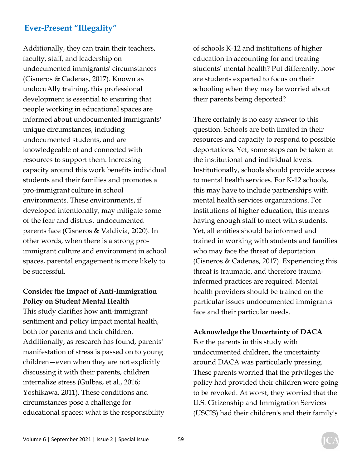Additionally, they can train their teachers, faculty, staff, and leadership on undocumented immigrants' circumstances (Cisneros & Cadenas, 2017). Known as undocuAlly training, this professional development is essential to ensuring that people working in educational spaces are informed about undocumented immigrants' unique circumstances, including undocumented students, and are knowledgeable of and connected with resources to support them. Increasing capacity around this work benefits individual students and their families and promotes a pro-immigrant culture in school environments. These environments, if developed intentionally, may mitigate some of the fear and distrust undocumented parents face (Cisneros & Valdivia, 2020). In other words, when there is a strong proimmigrant culture and environment in school spaces, parental engagement is more likely to be successful.

## **Consider the Impact of Anti-Immigration Policy on Student Mental Health**

This study clarifies how anti-immigrant sentiment and policy impact mental health, both for parents and their children. Additionally, as research has found, parents' manifestation of stress is passed on to young children—even when they are not explicitly discussing it with their parents, children internalize stress (Gulbas, et al., 2016; Yoshikawa, 2011). These conditions and circumstances pose a challenge for educational spaces: what is the responsibility of schools K-12 and institutions of higher education in accounting for and treating students' mental health? Put differently, how are students expected to focus on their schooling when they may be worried about their parents being deported?

There certainly is no easy answer to this question. Schools are both limited in their resources and capacity to respond to possible deportations. Yet, some steps can be taken at the institutional and individual levels. Institutionally, schools should provide access to mental health services. For K-12 schools, this may have to include partnerships with mental health services organizations. For institutions of higher education, this means having enough staff to meet with students. Yet, all entities should be informed and trained in working with students and families who may face the threat of deportation (Cisneros & Cadenas, 2017). Experiencing this threat is traumatic, and therefore traumainformed practices are required. Mental health providers should be trained on the particular issues undocumented immigrants face and their particular needs.

#### **Acknowledge the Uncertainty of DACA**

For the parents in this study with undocumented children, the uncertainty around DACA was particularly pressing. These parents worried that the privileges the policy had provided their children were going to be revoked. At worst, they worried that the U.S. Citizenship and Immigration Services (USCIS) had their children's and their family's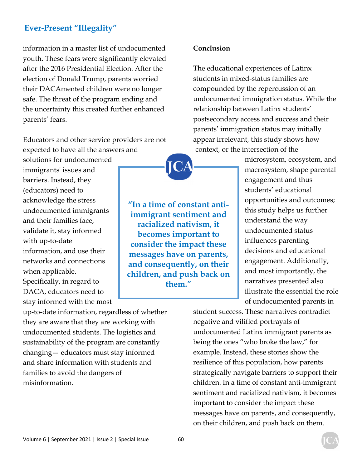information in a master list of undocumented youth. These fears were significantly elevated after the 2016 Presidential Election. After the election of Donald Trump, parents worried their DACAmented children were no longer safe. The threat of the program ending and the uncertainty this created further enhanced parents' fears.

Educators and other service providers are not expected to have all the answers and

solutions for undocumented immigrants' issues and barriers. Instead, they (educators) need to acknowledge the stress undocumented immigrants and their families face, validate it, stay informed with up-to-date information, and use their networks and connections when applicable. Specifically, in regard to DACA, educators need to stay informed with the most

**"In a time of constant antiimmigrant sentiment and racialized nativism, it becomes important to consider the impact these messages have on parents, and consequently, on their children, and push back on them."** 

**Conclusion** 

The educational experiences of Latinx students in mixed-status families are compounded by the repercussion of an undocumented immigration status. While the relationship between Latinx students' postsecondary access and success and their parents' immigration status may initially appear irrelevant, this study shows how context, or the intersection of the

> microsystem, ecosystem, and macrosystem, shape parental engagement and thus students' educational opportunities and outcomes; this study helps us further understand the way undocumented status influences parenting decisions and educational engagement. Additionally, and most importantly, the narratives presented also illustrate the essential the role of undocumented parents in

up-to-date information, regardless of whether they are aware that they are working with undocumented students. The logistics and sustainability of the program are constantly changing— educators must stay informed and share information with students and families to avoid the dangers of misinformation.

student success. These narratives contradict negative and vilified portrayals of undocumented Latinx immigrant parents as being the ones "who broke the law," for example. Instead, these stories show the resilience of this population, how parents strategically navigate barriers to support their children. In a time of constant anti-immigrant sentiment and racialized nativism, it becomes important to consider the impact these messages have on parents, and consequently, on their children, and push back on them.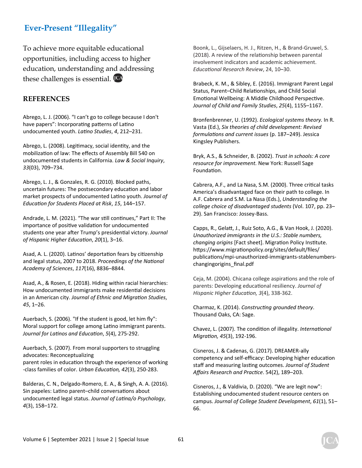To achieve more equitable educational opportunities, including access to higher education, understanding and addressing these challenges is essential. **[CA** 

#### **REFERENCES**

Abrego, L. J. (2006). "I can't go to college because I don't have papers": Incorporating patterns of Latino undocumented youth. *LaƟno Studies*, *4*, 212–231.

Abrego, L. (2008). Legitimacy, social identity, and the mobilization of law: The effects of Assembly Bill 540 on undocumented students in California. *Law & Social Inquiry*, *33*(03), 709–734.

Abrego, L. J., & Gonzales, R. G. (2010). Blocked paths, uncertain futures: The postsecondary education and labor market prospects of undocumented Latino youth. *Journal of EducaƟon for Students Placed at Risk*, *15*, 144–157.

Andrade, L. M. (2021). "The war still continues," Part II: The importance of positive validation for undocumented students one year after Trump's presidential victory. *Journal of Hispanic Higher EducaƟon*, *20*(1), 3–16.

Asad, A. L. (2020). Latinos' deportation fears by citizenship and legal status, 2007 to 2018. Proceedings of the National *Academy of Sciences*, *117*(16), 8836–8844.

Asad, A., & Rosen, E. (2018). Hiding within racial hierarchies: How undocumented immigrants make residential decisions in an American city. *Journal of Ethnic and MigraƟon Studies*, *45*, 1–26.

Auerbach, S. (2006). "If the student is good, let him fly": Moral support for college among Latino immigrant parents. *Journal for LaƟnos and EducaƟon*, *5*(4), 275-292.

Auerbach, S. (2007). From moral supporters to struggling advocates: Reconceptualizing parent roles in education through the experience of working -class families of color. *Urban Education, 42*(3), 250-283.

Balderas, C. N., Delgado-Romero, E. A., & Singh, A. A. (2016). Sin papeles: Latino parent–child conversations about undocumented legal status. *Journal of LaƟna/o Psychology*, *4*(3), 158–172.

Boonk, L., Gijselaers, H. J., Ritzen, H., & Brand-Gruwel, S. (2018). A review of the relationship between parental involvement indicators and academic achievement. *EducaƟonal Research Review*, 24, 10–30.

Brabeck, K. M., & Sibley, E. (2016). Immigrant Parent Legal Status, Parent-Child Relationships, and Child Social Emotional Wellbeing: A Middle Childhood Perspective. *Journal of Child and Family Studies*, *25*(4), 1155–1167.

Bronfenbrenner, U. (1992). *Ecological systems theory.* In R. Vasta (Ed.), *Six theories of child development: Revised formulaƟons and current issues* (p. 187–249). Jessica Kingsley Publishers.

Bryk, A.S., & Schneider, B. (2002). *Trust in schools: A core resource for improvement.* New York: Russell Sage FoundaƟon.

Cabrera, A.F., and La Nasa, S.M. (2000). Three critical tasks America's disadvantaged face on their path to college. In A.F. Cabrera and S.M. La Nasa (Eds.), *Understanding the college choice of disadvantaged students* (Vol. 107, pp. 23– 29). San Francisco: Jossey-Bass.

Capps, R., GelaƩ, J., Ruiz Soto, A.G., & Van Hook, J. (2020). *Unauthorized immigrants in the U.S.: Stable numbers, changing origins* [Fact sheet]. MigraƟon Policy InsƟtute. https://www.migrationpolicy.org/sites/default/files/ publications/mpi-unauthorized-immigrants-stablenumberschangingorigins\_final.pdf

Ceja, M. (2004). Chicana college aspirations and the role of parents: Developing educational resiliency. *Journal of Hispanic Higher EducaƟon, 3*(4), 338-362.

Charmaz, K. (2014). *ConstrucƟng grounded theory*. Thousand Oaks, CA: Sage.

Chavez, L. (2007). The condition of illegality. *International MigraƟon, 45*(3), 192-196.

Cisneros, J. & Cadenas, G. (2017). DREAMER-ally competency and self-efficacy: Developing higher education staff and measuring lasting outcomes. Journal of Student *Affairs Research and PracƟce*. 54(2), 189–203.

Cisneros, J., & Valdivia, D. (2020). "We are legit now": Establishing undocumented student resource centers on campus. *Journal of College Student Development*, *61*(1), 51– 66.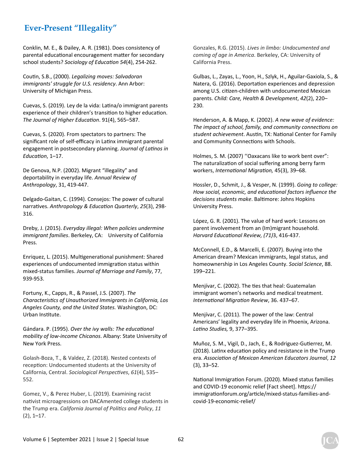Conklin, M. E., & Dailey, A. R. (1981). Does consistency of parental educational encouragement matter for secondary school students? *Sociology of EducaƟon 54*(4), 254-262.

CouƟn, S.B., (2000). *Legalizing moves: Salvadoran immigrants' struggle for U.S. residency*. Ann Arbor: University of Michigan Press.

Cuevas, S. (2019). Ley de la vida: Latina/o immigrant parents experience of their children's transition to higher education. *The Journal of Higher EducaƟon*. 91(4), 565–587.

Cuevas, S. (2020). From spectators to partners: The significant role of self-efficacy in Latinx immigrant parental engagement in postsecondary planning. *Journal of LaƟnos in EducaƟon*, 1–17.

De Genova, N.P. (2002). Migrant "illegality" and deportability in everyday life. *Annual Review of Anthropology*, 31, 419-447.

Delgado-Gaitan, C. (1994). Consejos: The power of cultural narraƟves. *Anthropology & EducaƟon Quarterly*, *25*(3), 298- 316.

Dreby, J. (2015). *Everyday illegal: When policies undermine immigrant families*. Berkeley, CA: University of California Press.

Enriquez, L. (2015). Multigenerational punishment: Shared experiences of undocumented immigration status within mixed-status families. *Journal of Marriage and Family*, 77, 939-953.

Fortuny, K., Capps, R., & Passel, J.S. (2007). *The CharacterisƟcs of Unauthorized Immigrants in California, Los Angeles County, and the United States.* Washington, DC: Urban Institute.

Gándara. P. (1995). Over the ivy walls: The educational *mobility of low-income Chicanos*. Albany: State University of New York Press.

Golash-Boza, T., & Valdez, Z. (2018). Nested contexts of reception: Undocumented students at the University of California, Central. *Sociological PerspecƟves*, *61*(4), 535– 552.

Gomez, V., & Perez Huber, L. (2019). Examining racist nativist microagressions on DACAmented college students in the Trump era. *California Journal of PoliƟcs and Policy*, *11*  $(2), 1-17.$ 

Gonzales, R.G. (2015). *Lives in limbo: Undocumented and coming of age in America*. Berkeley, CA: University of California Press.

Gulbas, L., Zayas, L., Yoon, H., Szlyk, H., Aguilar-Gaxiola, S., & Natera, G. (2016). Deportation experiences and depression among U.S. citizen-children with undocumented Mexican parents. *Child: Care, Health & Development*, *42*(2), 220– 230.

Henderson, A. & Mapp, K. (2002). *A new wave of evidence: The impact of school, family, and community connections on student achievement*. AusƟn, TX: NaƟonal Center for Family and Community Connections with Schools.

Holmes, S. M. (2007) ''Oaxacans like to work bent over": The naturalization of social suffering among berry farm workers, *InternaƟonal MigraƟon,* 45(3), 39–68.

Hossler, D., Schmit, J., & Vesper, N. (1999). *Going to college: How social, economic, and educaƟonal factors influence the decisions students make*. BalƟmore: Johns Hopkins University Press.

López, G. R. (2001). The value of hard work: Lessons on parent involvement from an (Im)migrant household. *Harvard EducaƟonal Review, (71)*3, 416-437.

McConnell, E.D., & Marcelli, E. (2007). Buying into the American dream? Mexican immigrants, legal status, and homeownership in Los Angeles County. *Social Science*, 88. 199–221.

Menjívar, C. (2002). The ties that heal: Guatemalan immigrant women's networks and medical treatment. *InternaƟonal MigraƟon Review*, 36. 437–67.

Menjívar, C. (2011). The power of the law: Central Americans' legality and everyday life in Phoenix, Arizona. *LaƟno Studies,* 9, 377–395.

Muñoz, S. M., Vigil, D., Jach, E., & Rodriguez-Gutierrez, M. (2018). Latinx education policy and resistance in the Trump era. *AssociaƟon of Mexican American Educators Journal*, *12* (3), 33–52.

National Immigration Forum. (2020). Mixed status families and COVID-19 economic relief [Fact sheet]. https:// immigrationforum.org/article/mixed-status-families-andcovid-19-economic-relief/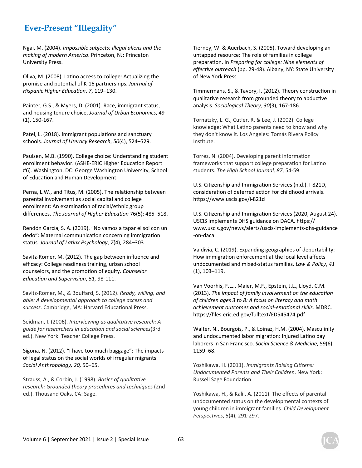Ngai, M. (2004). *Impossible subjects: Illegal aliens and the making of modern America*. Princeton, NJ: Princeton University Press.

Oliva, M. (2008). Latino access to college: Actualizing the promise and potenƟal of K-16 partnerships. *Journal of Hispanic Higher EducaƟon*, *7*, 119–130.

Painter, G.S., & Myers, D. (2001). Race, immigrant status, and housing tenure choice, *Journal of Urban Economics*, 49 (1), 150-167.

Patel, L. (2018). Immigrant populations and sanctuary schools. *Journal of Literacy Research*, *50*(4), 524–529.

Paulsen, M.B. (1990). College choice: Understanding student enrollment behavior. (ASHE-ERIC Higher Education Report #6). Washington, DC: George Washington University, School of Education and Human Development.

Perna, L.W., and Titus, M. (2005). The relationship between parental involvement as social capital and college enrollment: An examination of racial/ethnic group differences. The Journal of Higher Education 76(5): 485-518.

Rendón García, S. A. (2019). "No vamos a tapar el sol con un dedo": Maternal communication concerning immigration status. *Journal of LaƟnx Psychology*, *7*(4), 284–303.

Savitz-Romer, M. (2012). The gap between influence and efficacy: College readiness training, urban school counselors, and the promoƟon of equity. *Counselor EducaƟon and Supervision*, *51,* 98-111.

Savitz-Romer, M., & Bouffard, S. (2012). *Ready, willing, and able: A developmental approach to college access and*  success. Cambridge, MA: Harvard Educational Press.

Seidman, I. (2006). *Interviewing as qualitative research: A guide for researchers in educaƟon and social sciences*(3rd ed.). New York: Teacher College Press.

Sigona, N. (2012). "I have too much baggage": The impacts of legal status on the social worlds of irregular migrants. *Social Anthropology, 20,* 50–65.

Strauss, A., & Corbin, J. (1998). *Basics of qualitaƟve research: Grounded theory procedures and techniques* (2nd ed.). Thousand Oaks, CA: Sage.

Tierney, W. & Auerbach, S. (2005). Toward developing an untapped resource: The role of families in college preparaƟon. In *Preparing for college: Nine elements of effecƟve outreach* (pp. 29-48). Albany, NY: State University of New York Press.

Timmermans, S., & Tavory, I. (2012). Theory construction in qualitative research from grounded theory to abductive analysis. *Sociological Theory, 30*(3), 167-186.

Tornatzky, L. G., Cutler, R, & Lee, J. (2002). College knowledge: What Latino parents need to know and why they don't know it. Los Angeles: Tomás Rivera Policy Institute.

Torrez, N. (2004). Developing parent information frameworks that support college preparation for Latino students. *The High School Journal, 87*, 54-59.

U.S. Citizenship and Immigration Services (n.d.). I-821D, consideration of deferred action for childhood arrivals. https://www.uscis.gov/i-821d

U.S. Citizenship and Immigration Services (2020, August 24). USCIS implements DHS guidance on DACA. https:// www.uscis.gov/news/alerts/uscis-implements-dhs-guidance -on-daca

Valdivia, C. (2019). Expanding geographies of deportability: How immigration enforcement at the local level affects undocumented and mixed-status families. *Law & Policy*, *41* (1), 103–119.

Van Voorhis, F.L.., Maier, M.F., Epstein, J.L., Lloyd, C.M. (2013). The impact of family involvement on the education *of children ages 3 to 8: A focus on literacy and math achievement outcomes and social-emoƟonal skills.* MDRC. https://files.eric.ed.gov/fulltext/ED545474.pdf

Walter, N., Bourgois, P., & Loinaz, H.M. (2004). Masculinity and undocumented labor migration: Injured Latino day laborers in San Francisco. *Social Science & Medicine*, 59(6), 1159–68.

Yoshikawa, H. (2011). *Immigrants Raising Citizens: Undocumented Parents and Their Children*. New York: Russell Sage Foundation.

Yoshikawa, H., & Kalil, A. (2011). The effects of parental undocumented status on the developmental contexts of young children in immigrant families. *Child Development PerspecƟves*, 5(4), 291-297.